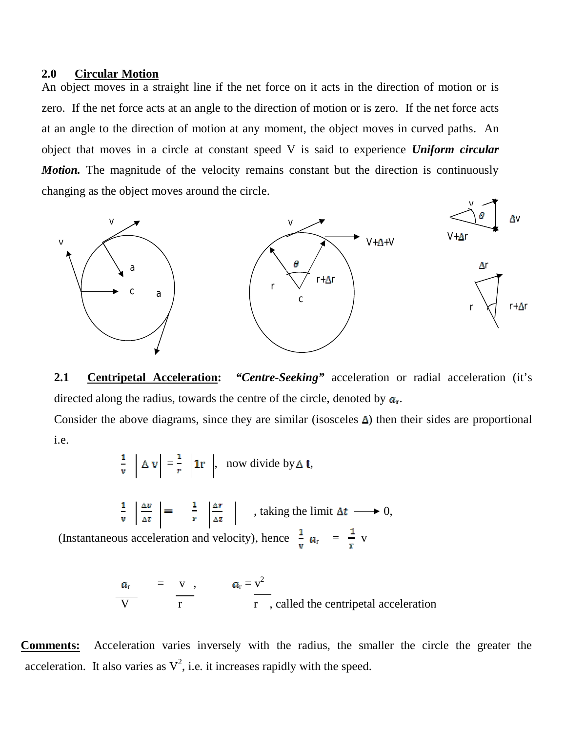## **2.0 Circular Motion**

An object moves in a straight line if the net force on it acts in the direction of motion or is zero. If the net force acts at an angle to the direction of motion or is zero. If the net force acts at an angle to the direction of motion at any moment, the object moves in curved paths. An object that moves in a circle at constant speed V is said to experience *Uniform circular Motion*. The magnitude of the velocity remains constant but the direction is continuously changing as the object moves around the circle.



**2.1 Centripetal Acceleration:** *"Centre-Seeking"* acceleration or radial acceleration (it's directed along the radius, towards the centre of the circle, denoted by  $a_r$ .

Consider the above diagrams, since they are similar (isosceles  $\Delta$ ) then their sides are proportional i.e.

$$
\frac{1}{v} \left| \Delta v \right| = \frac{1}{r} \left| \mathbf{1}r \right|, \text{ now divide by } \Delta \mathbf{t},
$$
\n
$$
\frac{1}{v} \left| \frac{\Delta v}{\Delta t} \right| = \frac{1}{r} \left| \frac{\Delta r}{\Delta t} \right|, \text{ taking the limit } \Delta t \longrightarrow 0,
$$

(Instantaneous acceleration and velocity), hence  $\frac{1}{r} a_r = \frac{1}{r} v$ 

$$
\frac{a_r}{V} = \frac{v}{r}, \qquad a_r = \frac{v^2}{r}
$$
, called the centripetal acceleration

**Comments:** Acceleration varies inversely with the radius, the smaller the circle the greater the acceleration. It also varies as  $V^2$ , i.e. it increases rapidly with the speed.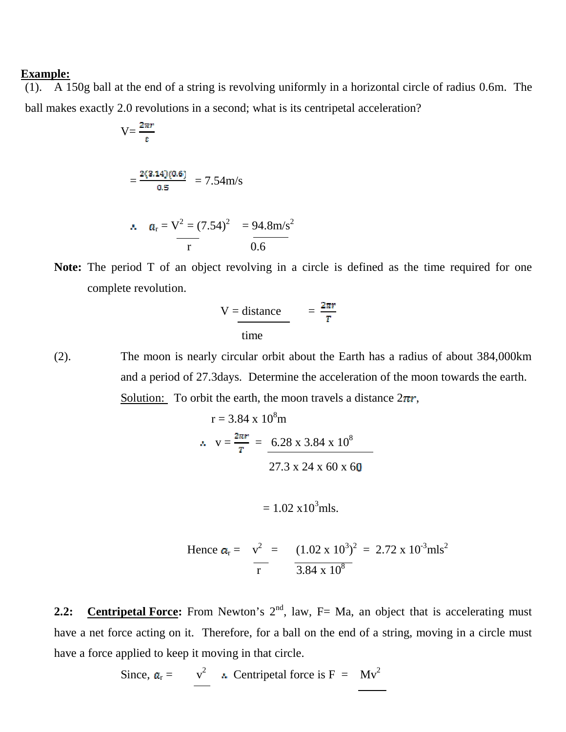#### **Example:**

(1). A 150g ball at the end of a string is revolving uniformly in a horizontal circle of radius 0.6m. The ball makes exactly 2.0 revolutions in a second; what is its centripetal acceleration?

$$
V = \frac{2\pi r}{t}
$$
  
=  $\frac{2(3.14)(0.6)}{0.5}$  = 7.54m/s

$$
\therefore a_r = V^2 = (7.54)^2 = 94.8 \text{m/s}^2
$$
  

$$
\frac{1}{r} = \frac{94.8 \text{m/s}^2}{0.6}
$$

**Note:** The period T of an object revolving in a circle is defined as the time required for one complete revolution.

$$
V = \frac{distance}{time} = \frac{2\pi r}{T}
$$

(2). The moon is nearly circular orbit about the Earth has a radius of about 384,000km and a period of 27.3days. Determine the acceleration of the moon towards the earth. Solution: To orbit the earth, the moon travels a distance  $2\pi r$ ,

$$
r = 3.84 \times 10^{8} \text{m}
$$
  
 
$$
\therefore v = \frac{2\pi r}{r} = \frac{6.28 \times 3.84 \times 10^{8}}{27.3 \times 24 \times 60 \times 60}
$$

$$
= 1.02 \times 10^3
$$
 mls.

Hence 
$$
a_r = v^2 = (1.02 \times 10^3)^2 = 2.72 \times 10^3 \text{ mls}^2
$$
  
\n $\frac{1}{r} = \frac{(1.02 \times 10^3)^2}{3.84 \times 10^8} = 2.72 \times 10^3 \text{ mls}^2$ 

**2.2:** Centripetal Force: From Newton's 2<sup>nd</sup>, law, F= Ma, an object that is accelerating must have a net force acting on it. Therefore, for a ball on the end of a string, moving in a circle must have a force applied to keep it moving in that circle.

Since, 
$$
a_r = v^2
$$
  $\therefore$  Centripetal force is F = Mv<sup>2</sup>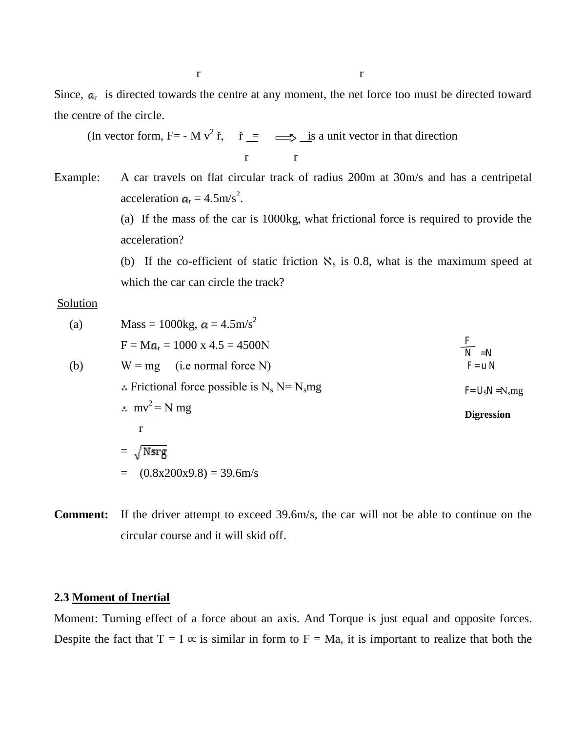Since,  $a_r$  is directed towards the centre at any moment, the net force too must be directed toward the centre of the circle.

(In vector form, F= - M v<sup>2</sup> i, if  $\equiv \implies$  is a unit vector in that direction r r

Example: A car travels on flat circular track of radius 200m at 30m/s and has a centripetal acceleration  $a_r = 4.5 \text{m/s}^2$ .

> (a) If the mass of the car is 1000kg, what frictional force is required to provide the acceleration?

> (b) If the co-efficient of static friction  $\aleph_s$  is 0.8, what is the maximum speed at which the car can circle the track?

#### Solution

| (a) | Mass = 1000kg, $\alpha = 4.5$ m/s <sup>2</sup>    |                      |
|-----|---------------------------------------------------|----------------------|
|     | $F = Ma_r = 1000 \text{ x } 4.5 = 4500 \text{ N}$ | $\frac{F}{N}$ = N    |
| (b) | $W = mg$ (i.e normal force N)                     | $F = u N$            |
|     | :. Frictional force possible is $N_s$ N= $N_s$ mg | $F = U_s N = N_s mg$ |
|     | $mv^2 = N mg$                                     | <b>Digression</b>    |
|     | r                                                 |                      |
|     | $= \sqrt{Nsrg}$                                   |                      |
|     | $(0.8x200x9.8) = 39.6m/s$<br>$=$                  |                      |
|     |                                                   |                      |

**Comment:** If the driver attempt to exceed 39.6m/s, the car will not be able to continue on the circular course and it will skid off.

## **2.3 Moment of Inertial**

Moment: Turning effect of a force about an axis. And Torque is just equal and opposite forces. Despite the fact that  $T = I \propto$  is similar in form to  $F = Ma$ , it is important to realize that both the

r r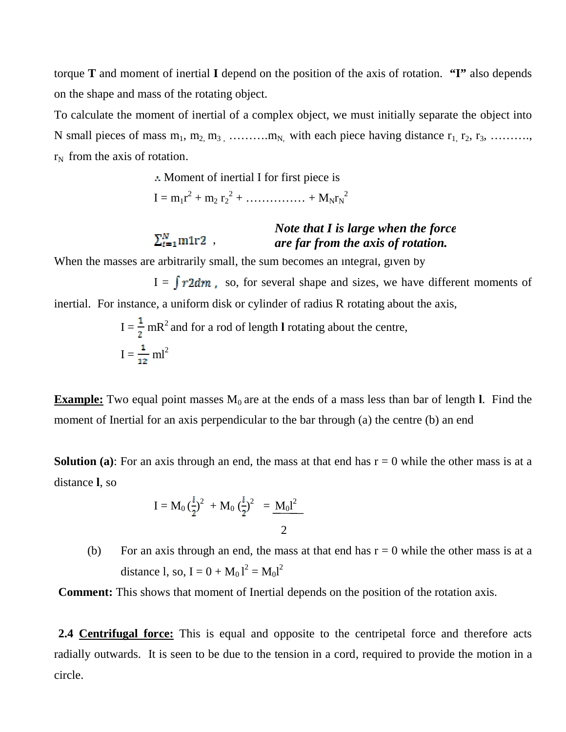torque **T** and moment of inertial **I** depend on the position of the axis of rotation. **"I"** also depends on the shape and mass of the rotating object.

To calculate the moment of inertial of a complex object, we must initially separate the object into N small pieces of mass  $m_1, m_2, m_3, \ldots, m_N$ , with each piece having distance  $r_1, r_2, r_3, \ldots, m_N$  $r_N$  from the axis of rotation.

> Moment of inertial I for first piece is  $I = m_1 r^2 + m_2 r_2^2 + \dots + M_N r_N^2$

#### $\sum_{i=1}^N \text{m1r2}$ , *Note that I is large when the force are far from the axis of rotation.*

When the masses are arbitrarily small, the sum becomes an integral, given by

 $I = \int r^2 \, dm$ , so, for several shape and sizes, we have different moments of inertial. For instance, a uniform disk or cylinder of radius R rotating about the axis,

$$
I = \frac{1}{2} mR^2
$$
 and for a rod of length **l** rotating about the centre,  

$$
I = \frac{1}{12} ml^2
$$

**Example:** Two equal point masses  $M_0$  are at the ends of a mass less than bar of length **l**. Find the moment of Inertial for an axis perpendicular to the bar through (a) the centre (b) an end

**Solution (a):** For an axis through an end, the mass at that end has  $r = 0$  while the other mass is at a distance **l**, so

$$
I = M_0 \left(\frac{l}{2}\right)^2 + M_0 \left(\frac{l}{2}\right)^2 = \frac{M_0 l^2}{2}
$$

(b) For an axis through an end, the mass at that end has  $r = 0$  while the other mass is at a distance 1, so,  $I = 0 + M_0 l^2 = M_0 l^2$ 

**Comment:** This shows that moment of Inertial depends on the position of the rotation axis.

**2.4 Centrifugal force:** This is equal and opposite to the centripetal force and therefore acts radially outwards. It is seen to be due to the tension in a cord, required to provide the motion in a circle.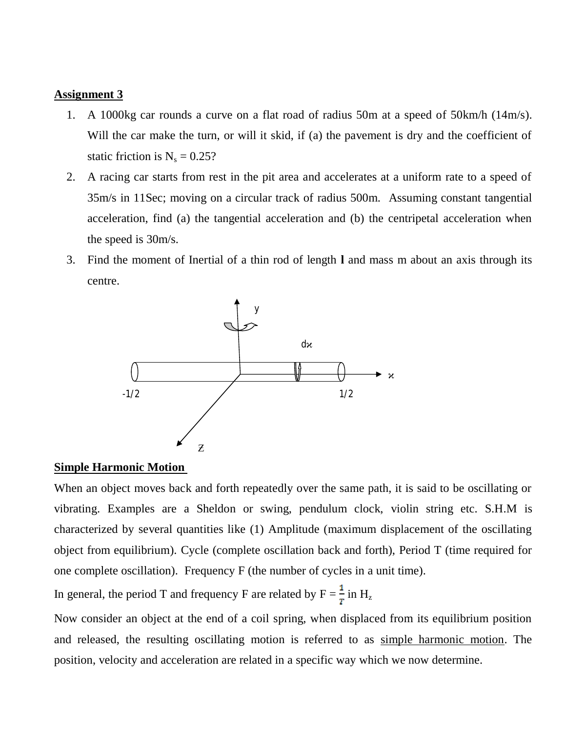### **Assignment 3**

- 1. A 1000kg car rounds a curve on a flat road of radius 50m at a speed of 50km/h (14m/s). Will the car make the turn, or will it skid, if (a) the pavement is dry and the coefficient of static friction is  $N_s = 0.25$ ?
- 2. A racing car starts from rest in the pit area and accelerates at a uniform rate to a speed of 35m/s in 11Sec; moving on a circular track of radius 500m. Assuming constant tangential acceleration, find (a) the tangential acceleration and (b) the centripetal acceleration when the speed is 30m/s.
- 3. Find the moment of Inertial of a thin rod of length **l** and mass m about an axis through its centre.



## **Simple Harmonic Motion**

When an object moves back and forth repeatedly over the same path, it is said to be oscillating or vibrating. Examples are a Sheldon or swing, pendulum clock, violin string etc. S.H.M is characterized by several quantities like (1) Amplitude (maximum displacement of the oscillating object from equilibrium). Cycle (complete oscillation back and forth), Period T (time required for one complete oscillation). Frequency F (the number of cycles in a unit time).

In general, the period T and frequency F are related by  $F = \frac{1}{T}$  in H<sub>z</sub>

Now consider an object at the end of a coil spring, when displaced from its equilibrium position and released, the resulting oscillating motion is referred to as simple harmonic motion. The position, velocity and acceleration are related in a specific way which we now determine.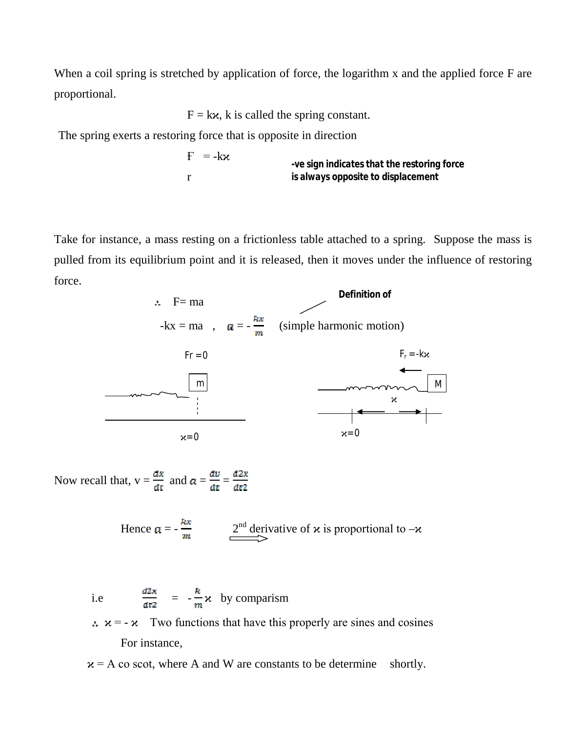When a coil spring is stretched by application of force, the logarithm x and the applied force F are proportional.

 $F = kx$ , k is called the spring constant.

The spring exerts a restoring force that is opposite in direction

 $F = -k\varkappa$ r *-ve sign indicates that the restoring force is always opposite to displacement*

Take for instance, a mass resting on a frictionless table attached to a spring. Suppose the mass is pulled from its equilibrium point and it is released, then it moves under the influence of restoring force.



Now recall that,  $v = \frac{dx}{dt}$  and  $a = \frac{dv}{dt} = \frac{d2x}{dt^2}$ 

Hence 
$$
\mathbf{a} = -\frac{kx}{m}
$$
  $\xrightarrow{2^{nd}}$  derivative of  $\mathbf{x}$  is proportional to  $-\mathbf{x}$ 

i.e  $\frac{d2x}{dt^2} = -\frac{k}{m}\chi$  by comparism

 $\therefore$   $x = -\alpha$  Two functions that have this properly are sines and cosines For instance,

 $x = A$  co scot, where A and W are constants to be determine shortly.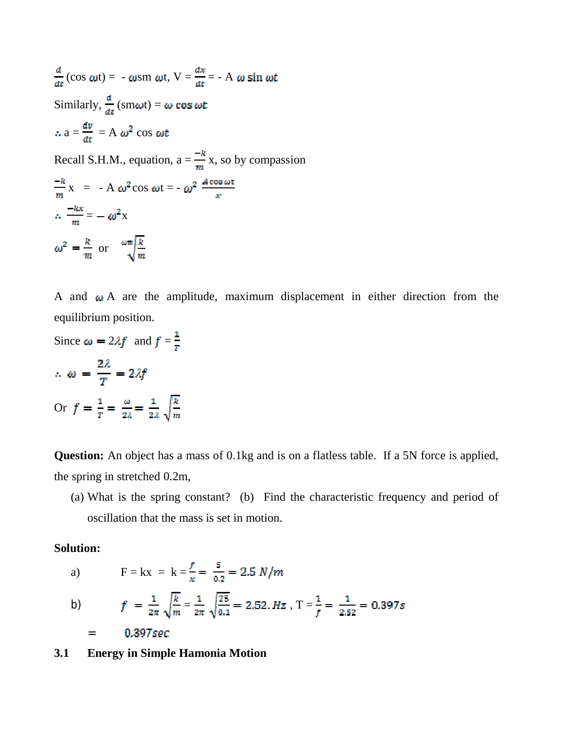$\frac{d}{dx}$ (cos  $\omega t$ ) = -  $\omega$ sm  $\omega t$ , V =  $\frac{dx}{dt}$  = - A  $\omega$  sin  $\omega t$ Similarly,  $\frac{d}{dt}$  (sm $\omega t$ ) =  $\omega$  cos  $\omega t$  $\therefore$  a =  $\frac{dv}{dt}$  = A  $\omega^2$  cos  $\omega t$ Recall S.H.M., equation,  $a = \frac{-k}{m}x$ , so by compassion  $\frac{-k}{m}$  x = - A  $\omega^2$  cos  $\omega t = -\omega^2 \frac{A \cos \omega t}{x}$  $\therefore \frac{-kx}{m} = -\omega^2 x$  $\omega^2 = \frac{k}{m}$  or  $\omega = \sqrt{\frac{k}{m}}$ 

A and  $\omega$  A are the amplitude, maximum displacement in either direction from the equilibrium position.

Since 
$$
\omega = 2\lambda f
$$
 and  $f = \frac{1}{r}$   
\n $\therefore \omega = \frac{2\lambda}{T} = 2\lambda f$   
\nOr  $f = \frac{1}{r} = \frac{\omega}{2\lambda} = \frac{1}{2\lambda} \sqrt{\frac{k}{m}}$ 

**Question:** An object has a mass of 0.1kg and is on a flatless table. If a 5N force is applied, the spring in stretched 0.2m,

(a) What is the spring constant? (b) Find the characteristic frequency and period of oscillation that the mass is set in motion.

# **Solution:**

a)  $F = kx = k = \frac{f}{x} = \frac{5}{0.2} = 2.5 \frac{N}{m}$ 

b) 
$$
f = \frac{1}{2\pi} \sqrt{\frac{k}{m}} = \frac{1}{2\pi} \sqrt{\frac{25}{0.1}} = 2.52. Hz
$$
,  $T = \frac{1}{f} = \frac{1}{2.52} = 0.397s$   
= 0.397sec

**3.1 Energy in Simple Hamonia Motion**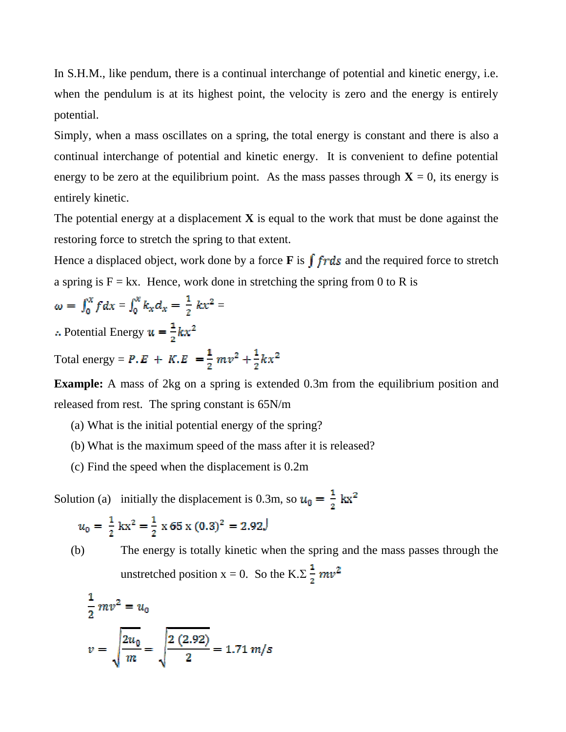In S.H.M., like pendum, there is a continual interchange of potential and kinetic energy, i.e. when the pendulum is at its highest point, the velocity is zero and the energy is entirely potential.

Simply, when a mass oscillates on a spring, the total energy is constant and there is also a continual interchange of potential and kinetic energy. It is convenient to define potential energy to be zero at the equilibrium point. As the mass passes through  $X = 0$ , its energy is entirely kinetic.

The potential energy at a displacement  $\bf{X}$  is equal to the work that must be done against the restoring force to stretch the spring to that extent.

Hence a displaced object, work done by a force **F** is  $\int fr ds$  and the required force to stretch a spring is  $F = kx$ . Hence, work done in stretching the spring from 0 to R is

$$
\omega = \int_0^x f dx = \int_0^x k_x d_x = \frac{1}{2} kx^2 =
$$

: Potential Energy  $u = \frac{1}{2}kx^2$ 

Total energy =  $P \cdot E + K \cdot E = \frac{1}{2} m v^2 + \frac{1}{2} k x^2$ 

**Example:** A mass of 2kg on a spring is extended 0.3m from the equilibrium position and released from rest. The spring constant is 65N/m

- (a) What is the initial potential energy of the spring?
- (b) What is the maximum speed of the mass after it is released?
- (c) Find the speed when the displacement is 0.2m

Solution (a) initially the displacement is 0.3m, so  $u_0 = \frac{1}{2} kx^2$ 

$$
u_0 = \frac{1}{2} \text{ kx}^2 = \frac{1}{2} \text{ x } 65 \text{ x } (0.3)^2 = 2.92 \text{ J}
$$

(b) The energy is totally kinetic when the spring and the mass passes through the unstretched position  $x = 0$ . So the K. $\Sigma \frac{1}{2} m v^2$ 

$$
\frac{1}{2}mv^2 = u_0
$$
  

$$
v = \sqrt{\frac{2u_0}{m}} = \sqrt{\frac{2(2.92)}{2}} = 1.71 \text{ m/s}
$$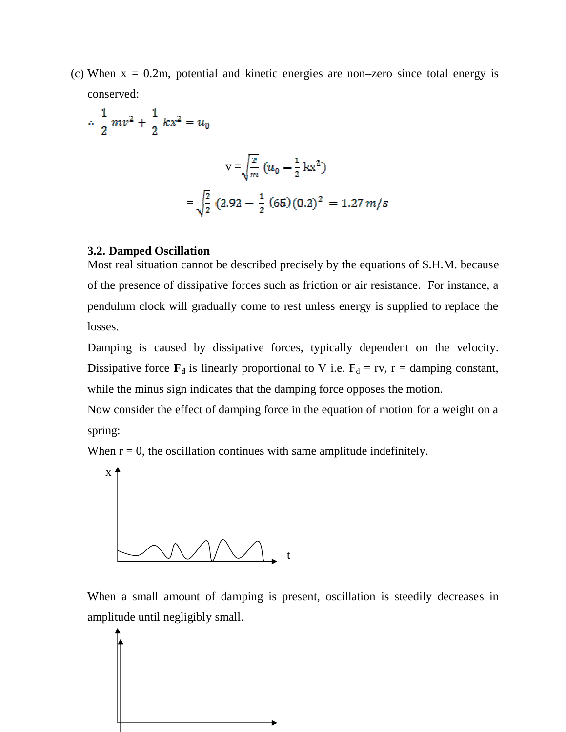(c) When  $x = 0.2m$ , potential and kinetic energies are non–zero since total energy is conserved:

$$
\therefore \frac{1}{2}mv^2 + \frac{1}{2}kx^2 = u_0
$$
  

$$
v = \sqrt{\frac{2}{m}}(u_0 - \frac{1}{2}kx^2)
$$
  

$$
= \sqrt{\frac{2}{2}}(2.92 - \frac{1}{2}(65)(0.2)^2 = 1.27 m/s
$$

# **3.2. Damped Oscillation**

Most real situation cannot be described precisely by the equations of S.H.M. because of the presence of dissipative forces such as friction or air resistance. For instance, a pendulum clock will gradually come to rest unless energy is supplied to replace the losses.

Damping is caused by dissipative forces, typically dependent on the velocity. Dissipative force  $\mathbf{F}_d$  is linearly proportional to V i.e.  $F_d = rv$ ,  $r = damping constant$ , while the minus sign indicates that the damping force opposes the motion.

Now consider the effect of damping force in the equation of motion for a weight on a spring:

When  $r = 0$ , the oscillation continues with same amplitude indefinitely.



When a small amount of damping is present, oscillation is steedily decreases in amplitude until negligibly small.